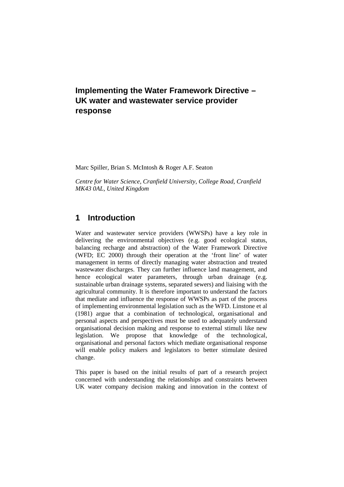# **Implementing the Water Framework Directive – UK water and wastewater service provider response**

Marc Spiller, Brian S. McIntosh & Roger A.F. Seaton

*Centre for Water Science, Cranfield University, College Road, Cranfield MK43 0AL, United Kingdom*

## **1 Introduction**

Water and wastewater service providers (WWSPs) have a key role in delivering the environmental objectives (e.g. good ecological status, balancing recharge and abstraction) of the Water Framework Directive (WFD; EC 2000) through their operation at the 'front line' of water management in terms of directly managing water abstraction and treated wastewater discharges. They can further influence land management, and hence ecological water parameters, through urban drainage (e.g. sustainable urban drainage systems, separated sewers) and liaising with the agricultural community. It is therefore important to understand the factors that mediate and influence the response of WWSPs as part of the process of implementing environmental legislation such as the WFD. Linstone et al (1981) argue that a combination of technological, organisational and personal aspects and perspectives must be used to adequately understand organisational decision making and response to external stimuli like new legislation. We propose that knowledge of the technological, organisational and personal factors which mediate organisational response will enable policy makers and legislators to better stimulate desired change.

This paper is based on the initial results of part of a research project concerned with understanding the relationships and constraints between UK water company decision making and innovation in the context of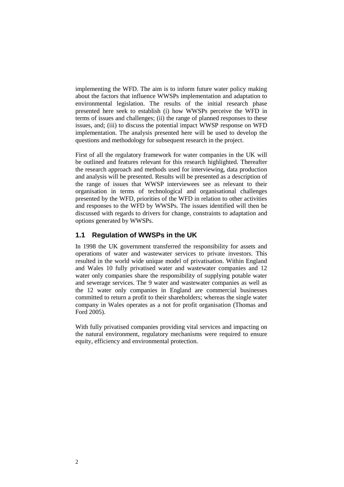implementing the WFD. The aim is to inform future water policy making about the factors that influence WWSPs implementation and adaptation to environmental legislation. The results of the initial research phase presented here seek to establish (i) how WWSPs perceive the WFD in terms of issues and challenges; (ii) the range of planned responses to these issues, and; (iii) to discuss the potential impact WWSP response on WFD implementation. The analysis presented here will be used to develop the questions and methodology for subsequent research in the project.

First of all the regulatory framework for water companies in the UK will be outlined and features relevant for this research highlighted. Thereafter the research approach and methods used for interviewing, data production and analysis will be presented. Results will be presented as a description of the range of issues that WWSP interviewees see as relevant to their organisation in terms of technological and organisational challenges presented by the WFD, priorities of the WFD in relation to other activities and responses to the WFD by WWSPs. The issues identified will then be discussed with regards to drivers for change, constraints to adaptation and options generated by WWSPs.

### <span id="page-1-0"></span>**1.1 Regulation of WWSPs in the UK**

In 1998 the UK government transferred the responsibility for assets and operations of water and wastewater services to private investors. This resulted in the world wide unique model of privatisation. Within England and Wales 10 fully privatised water and wastewater companies and 12 water only companies share the responsibility of supplying potable water and sewerage services. The 9 water and wastewater companies as well as the 12 water only companies in England are commercial businesses committed to return a profit to their shareholders; whereas the single water company in Wales operates as a not for profit organisation (Thomas and Ford 2005).

With fully privatised companies providing vital services and impacting on the natural environment, regulatory mechanisms were required to ensure equity, efficiency and environmental protection.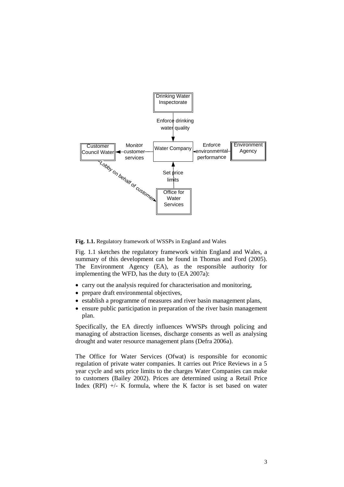

<span id="page-2-0"></span>**Fig. 1.1.** Regulatory framework of WSSPs in England and Wales

[Fig.](#page-2-0) 1.1 sketches the regulatory framework within England and Wales, a summary of this development can be found in Thomas and Ford (2005). The Environment Agency (EA), as the responsible authority for implementing the WFD, has the duty to (EA 2007a):

- carry out the analysis required for characterisation and monitoring,
- prepare draft environmental objectives,
- establish a programme of measures and river basin management plans,
- ensure public participation in preparation of the river basin management plan.

Specifically, the EA directly influences WWSPs through policing and managing of abstraction licenses, discharge consents as well as analysing drought and water resource management plans (Defra 2006a).

The Office for Water Services (Ofwat) is responsible for economic regulation of private water companies. It carries out Price Reviews in a 5 year cycle and sets price limits to the charges Water Companies can make to customers (Bailey 2002). Prices are determined using a Retail Price Index (RPI)  $+/- K$  formula, where the K factor is set based on water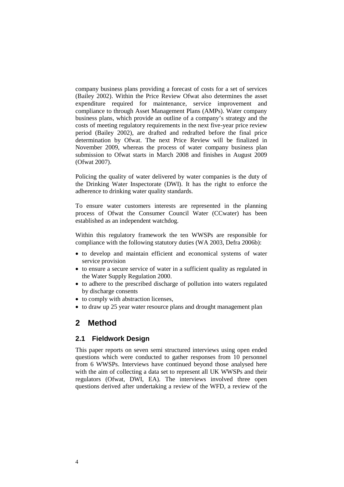company business plans providing a forecast of costs for a set of services (Bailey 2002). Within the Price Review Ofwat also determines the asset expenditure required for maintenance, service improvement and compliance to through Asset Management Plans (AMPs). Water company business plans, which provide an outline of a company's strategy and the costs of meeting regulatory requirements in the next five-year price review period (Bailey 2002), are drafted and redrafted before the final price determination by Ofwat. The next Price Review will be finalized in November 2009, whereas the process of water company business plan submission to Ofwat starts in March 2008 and finishes in August 2009 (Ofwat 2007).

Policing the quality of water delivered by water companies is the duty of the Drinking Water Inspectorate (DWI). It has the right to enforce the adherence to drinking water quality standards.

To ensure water customers interests are represented in the planning process of Ofwat the Consumer Council Water (CCwater) has been established as an independent watchdog.

Within this regulatory framework the ten WWSPs are responsible for compliance with the following statutory duties (WA 2003, Defra 2006b):

- to develop and maintain efficient and economical systems of water service provision
- to ensure a secure service of water in a sufficient quality as regulated in the Water Supply Regulation 2000.
- to adhere to the prescribed discharge of pollution into waters regulated by discharge consents
- to comply with abstraction licenses,
- to draw up 25 year water resource plans and drought management plan

## **2 Method**

### **2.1 Fieldwork Design**

This paper reports on seven semi structured interviews using open ended questions which were conducted to gather responses from 10 personnel from 6 WWSPs. Interviews have continued beyond those analysed here with the aim of collecting a data set to represent all UK WWSPs and their regulators (Ofwat, DWI, EA). The interviews involved three open questions derived after undertaking a review of the WFD, a review of the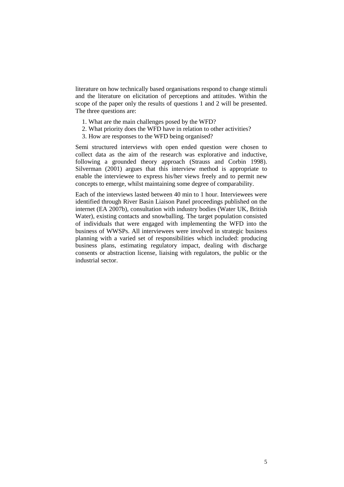literature on how technically based organisations respond to change stimuli and the literature on elicitation of perceptions and attitudes. Within the scope of the paper only the results of questions 1 and 2 will be presented. The three questions are:

- 1. What are the main challenges posed by the WFD?
- 2. What priority does the WFD have in relation to other activities?
- 3. How are responses to the WFD being organised?

Semi structured interviews with open ended question were chosen to collect data as the aim of the research was explorative and inductive, following a grounded theory approach (Strauss and Corbin 1998). Silverman (2001) argues that this interview method is appropriate to enable the interviewee to express his/her views freely and to permit new concepts to emerge, whilst maintaining some degree of comparability.

Each of the interviews lasted between 40 min to 1 hour. Interviewees were identified through River Basin Liaison Panel proceedings published on the internet (EA 2007b), consultation with industry bodies (Water UK, British Water), existing contacts and snowballing. The target population consisted of individuals that were engaged with implementing the WFD into the business of WWSPs. All interviewees were involved in strategic business planning with a varied set of responsibilities which included: producing business plans, estimating regulatory impact, dealing with discharge consents or abstraction license, liaising with regulators, the public or the industrial sector.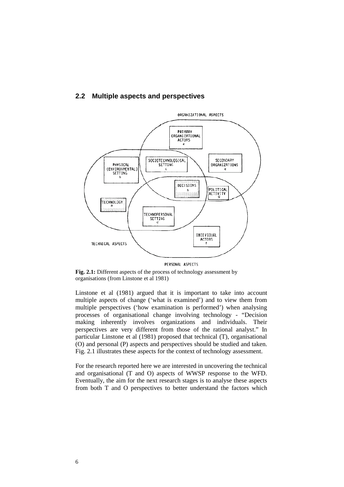



**Fig. 2.1:** Different aspects of the process of technology assessment by organisations (from Linstone et al 1981)

Linstone et al (1981) argued that it is important to take into account multiple aspects of change ('what is examined') and to view them from multiple perspectives ('how examination is performed') when analysing processes of organisational change involving technology - "Decision making inherently involves organizations and individuals. Their perspectives are very different from those of the rational analyst." In particular Linstone et al (1981) proposed that technical (T), organisational (O) and personal (P) aspects and perspectives should be studied and taken. Fig. 2.1 illustrates these aspects for the context of technology assessment.

For the research reported here we are interested in uncovering the technical and organisational (T and O) aspects of WWSP response to the WFD. Eventually, the aim for the next research stages is to analyse these aspects from both T and O perspectives to better understand the factors which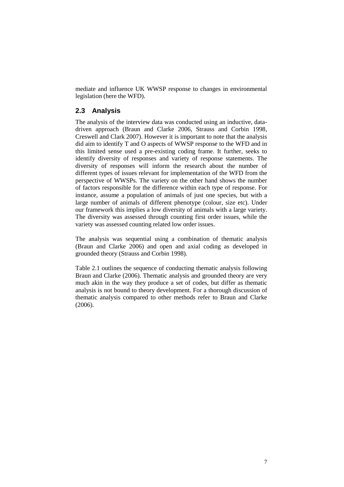mediate and influence UK WWSP response to changes in environmental legislation (here the WFD).

## **2.3 Analysis**

The analysis of the interview data was conducted using an inductive, datadriven approach (Braun and Clarke 2006, Strauss and Corbin 1998, Creswell and Clark 2007). However it is important to note that the analysis did aim to identify T and O aspects of WWSP response to the WFD and in this limited sense used a pre-existing coding frame. It further, seeks to identify diversity of responses and variety of response statements. The diversity of responses will inform the research about the number of different types of issues relevant for implementation of the WFD from the perspective of WWSPs. The variety on the other hand shows the number of factors responsible for the difference within each type of response. For instance, assume a population of animals of just one species, but with a large number of animals of different phenotype (colour, size etc). Under our framework this implies a low diversity of animals with a large variety. The diversity was assessed through counting first order issues, while the variety was assessed counting related low order issues.

The analysis was sequential using a combination of thematic analysis (Braun and Clarke 2006) and open and axial coding as developed in grounded theory (Strauss and Corbin 1998).

[Table](#page-7-0) 2.1 outlines the sequence of conducting thematic analysis following Braun and Clarke (2006). Thematic analysis and grounded theory are very much akin in the way they produce a set of codes, but differ as thematic analysis is not bound to theory development. For a thorough discussion of thematic analysis compared to other methods refer to Braun and Clarke (2006).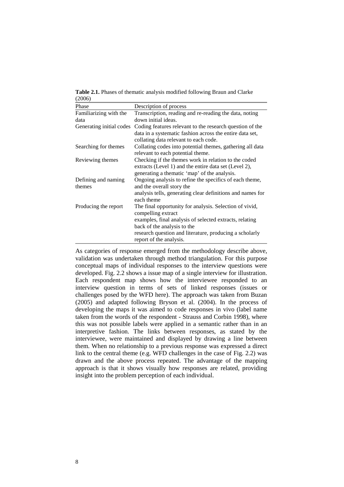<span id="page-7-0"></span>**Table 2.1.** Phases of thematic analysis modified following Braun and Clarke (2006)

| Phase                    | Description of process                                     |
|--------------------------|------------------------------------------------------------|
| Familiarizing with the   | Transcription, reading and re-reading the data, noting     |
| data                     | down initial ideas.                                        |
| Generating initial codes | Coding features relevant to the research question of the   |
|                          | data in a systematic fashion across the entire data set,   |
|                          | collating data relevant to each code.                      |
| Searching for themes     | Collating codes into potential themes, gathering all data  |
|                          | relevant to each potential theme.                          |
| Reviewing themes         | Checking if the themes work in relation to the coded       |
|                          | extracts (Level 1) and the entire data set (Level 2),      |
|                          | generating a thematic 'map' of the analysis.               |
| Defining and naming      | Ongoing analysis to refine the specifics of each theme,    |
| themes                   | and the overall story the                                  |
|                          | analysis tells, generating clear definitions and names for |
|                          | each theme                                                 |
| Producing the report     | The final opportunity for analysis. Selection of vivid,    |
|                          | compelling extract                                         |
|                          | examples, final analysis of selected extracts, relating    |
|                          | back of the analysis to the                                |
|                          | research question and literature, producing a scholarly    |
|                          | report of the analysis.                                    |

As categories of response emerged from the methodology describe above, validation was undertaken through method triangulation. For this purpose conceptual maps of individual responses to the interview questions were developed. [Fig.](#page-8-0) 2.2 shows a issue map of a single interview for illustration. Each respondent map shows how the interviewee responded to an interview question in terms of sets of linked responses (issues or challenges posed by the WFD here). The approach was taken from Buzan (2005) and adapted following Bryson et al. (2004). In the process of developing the maps it was aimed to code responses in vivo (label name taken from the words of the respondent - Strauss and Corbin 1998), where this was not possible labels were applied in a semantic rather than in an interpretive fashion. The links between responses, as stated by the interviewee, were maintained and displayed by drawing a line between them. When no relationship to a previous response was expressed a direct link to the central theme (e.g. WFD challenges in the case of Fig. 2.2) was drawn and the above process repeated. The advantage of the mapping approach is that it shows visually how responses are related, providing insight into the problem perception of each individual.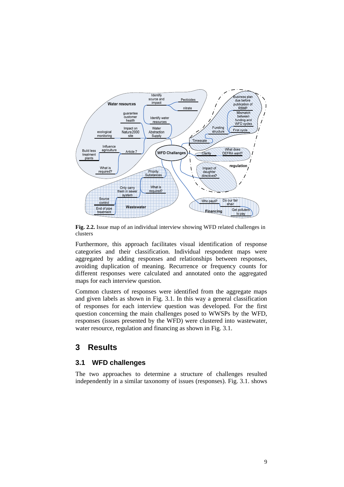

<span id="page-8-0"></span>**Fig. 2.2.** Issue map of an individual interview showing WFD related challenges in clusters

Furthermore, this approach facilitates visual identification of response categories and their classification. Individual respondent maps were aggregated by adding responses and relationships between responses, avoiding duplication of meaning. Recurrence or frequency counts for different responses were calculated and annotated onto the aggregated maps for each interview question.

Common clusters of responses were identified from the aggregate maps and given labels as shown in Fig. 3.1. In this way a general classification of responses for each interview question was developed. For the first question concerning the main challenges posed to WWSPs by the WFD, responses (issues presented by the WFD) were clustered into wastewater, water resource, regulation and financing as shown in Fig. 3.1.

## **3 Results**

## **3.1 WFD challenges**

The two approaches to determine a structure of challenges resulted independently in a similar taxonomy of issues (responses). Fig. 3.1. shows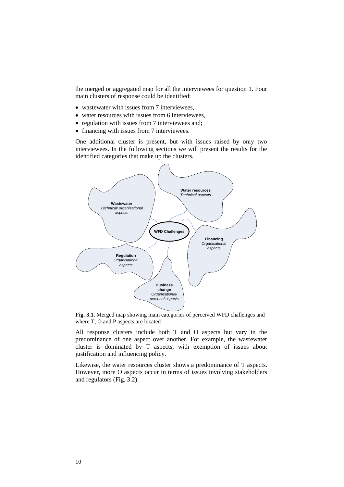the merged or aggregated map for all the interviewees for question 1. Four main clusters of response could be identified:

- wastewater with issues from 7 interviewees.
- water resources with issues from 6 interviewees.
- regulation with issues from 7 interviewees and;
- financing with issues from 7 interviewees.

One additional cluster is present, but with issues raised by only two interviewees. In the following sections we will present the results for the identified categories that make up the clusters.



**Fig. 3.1.** Merged map showing main categories of perceived WFD challenges and where T, O and P aspects are located

All response clusters include both T and O aspects but vary in the predominance of one aspect over another. For example, the wastewater cluster is dominated by T aspects, with exemption of issues about justification and influencing policy.

Likewise, the water resources cluster shows a predominance of T aspects. However, more O aspects occur in terms of issues involving stakeholders and regulators([Fig.](#page-10-0) 3.2).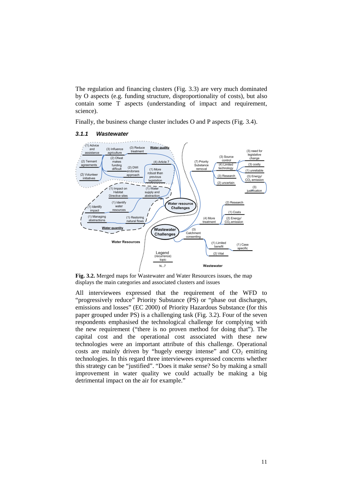The regulation and financing clusters [\(Fig.](#page-13-0) 3.3) are very much dominated by O aspects (e.g. funding structure, disproportionality of costs), but also contain some T aspects (understanding of impact and requirement, science).

Finally, the business change cluster includes O and P aspects([Fig.](#page-15-0) 3.4).



#### *3.1.1 Wastewater*

<span id="page-10-0"></span>**Fig. 3.2.** Merged maps for Wastewater and Water Resources issues, the map displays the main categories and associated clusters and issues

All interviewees expressed that the requirement of the WFD to "progressively reduce" Priority Substance (PS) or "phase out discharges, emissions and losses" (EC 2000) of Priority Hazardous Substance (for this paper grouped under PS) is a challengingtask [\(Fig.](#page-10-0) 3.2). Four of the seven respondents emphasised the technological challenge for complying with the new requirement ("there is no proven method for doing that"). The capital cost and the operational cost associated with these new technologies were an important attribute of this challenge. Operational costs are mainly driven by "hugely energy intense" and  $CO<sub>2</sub>$  emitting technologies. In this regard three interviewees expressed concerns whether this strategy can be "justified". "Does it make sense? So by making a small improvement in water quality we could actually be making a big detrimental impact on the air for example."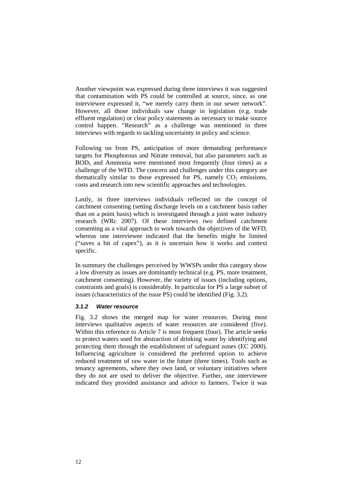Another viewpoint was expressed during three interviews it was suggested that contamination with PS could be controlled at source, since, as one interviewee expressed it, "we merely carry them in our sewer network". However, all those individuals saw change in legislation (e.g. trade effluent regulation) or clear policy statements as necessary to make source control happen. "Research" as a challenge was mentioned in three interviews with regards to tackling uncertainty in policy and science.

Following on from PS, anticipation of more demanding performance targets for Phosphorous and Nitrate removal, but also parameters such as  $BOD<sub>5</sub>$  and Ammonia were mentioned most frequently (four times) as a challenge of the WFD. The concern and challenges under this category are thematically similar to those expressed for PS, namely  $CO<sub>2</sub>$  emissions, costs and research into new scientific approaches and technologies.

Lastly, in three interviews individuals reflected on the concept of catchment consenting (setting discharge levels on a catchment basis rather than on a point basis) which is investigated through a joint water industry research (WRc 2007). Of these interviews two defined catchment consenting as a vital approach to work towards the objectives of the WFD, whereas one interviewee indicated that the benefits might be limited ("saves a bit of capex"), as it is uncertain how it works and context specific.

In summary the challenges perceived by WWSPs under this category show a low diversity as issues are dominantly technical (e.g. PS, more treatment, catchment consenting). However, the variety of issues (including options, constraints and goals) is considerably. In particular for PS a large subset of issues (characteristics of the issue PS) could be identified [\(Fig.](#page-10-0) 3.2).

#### <span id="page-11-0"></span>*3.1.2 Water resource*

[Fig.](#page-10-0) 3.2 shows the merged map for water resources. During most interviews qualitative aspects of water resources are considered (five). Within this reference to Article 7 is most frequent (four). The article seeks to protect waters used for abstraction of drinking water by identifying and protecting them through the establishment of safeguard zones (EC 2000). Influencing agriculture is considered the preferred option to achieve reduced treatment of raw water in the future (three times). Tools such as tenancy agreements, where they own land, or voluntary initiatives where they do not are used to deliver the objective. Further, one interviewee indicated they provided assistance and advice to farmers. Twice it was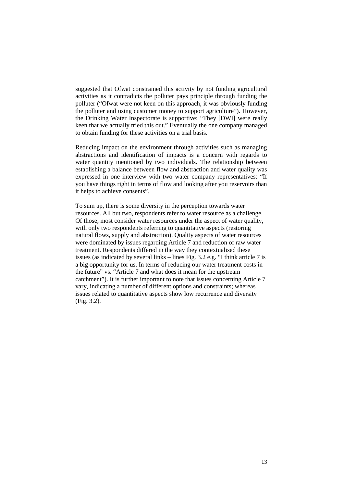suggested that Ofwat constrained this activity by not funding agricultural activities as it contradicts the polluter pays principle through funding the polluter ("Ofwat were not keen on this approach, it was obviously funding the polluter and using customer money to support agriculture"). However, the Drinking Water Inspectorate is supportive: "They [DWI] were really keen that we actually tried this out." Eventually the one company managed to obtain funding for these activities on a trial basis.

Reducing impact on the environment through activities such as managing abstractions and identification of impacts is a concern with regards to water quantity mentioned by two individuals. The relationship between establishing a balance between flow and abstraction and water quality was expressed in one interview with two water company representatives: "If you have things right in terms of flow and looking after you reservoirs than it helps to achieve consents".

To sum up, there is some diversity in the perception towards water resources. All but two, respondents refer to water resource as a challenge. Of those, most consider water resources under the aspect of water quality, with only two respondents referring to quantitative aspects (restoring natural flows, supply and abstraction). Quality aspects of water resources were dominated by issues regarding Article 7 and reduction of raw water treatment. Respondents differed in the way they contextualised these issues (as indicated by several links – lines [Fig.](#page-10-0) 3.2 e.g. "I think article 7 is a big opportunity for us. In terms of reducing our water treatment costs in the future" vs. "Article 7 and what does it mean for the upstream catchment"). It is further important to note that issues concerning Article 7 vary, indicating a number of different options and constraints; whereas issues related to quantitative aspects show low recurrence and diversity [\(Fig.](#page-10-0) 3.2).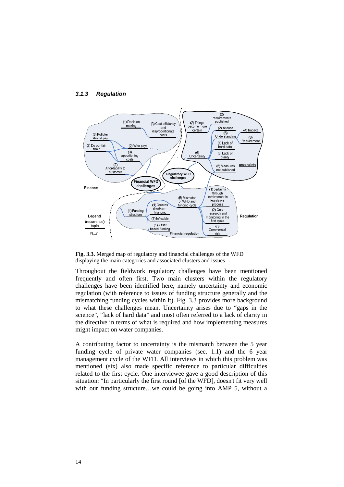

#### <span id="page-13-1"></span>*3.1.3 Regulation*

<span id="page-13-0"></span>

Throughout the fieldwork regulatory challenges have been mentioned frequently and often first. Two main clusters within the regulatory challenges have been identified here, namely uncertainty and economic regulation (with reference to issues of funding structure generally and the mismatching funding cycles within it). [Fig.](#page-13-0) 3.3 provides more background to what these challenges mean. Uncertainty arises due to "gaps in the science", "lack of hard data" and most often referred to a lack of clarity in the directive in terms of what is required and how implementing measures might impact on water companies.

A contributing factor to uncertainty is the mismatch between the 5 year funding cycle of private water companies (sec. [1.1\)](#page-1-0) and the 6 year management cycle of the WFD. All interviews in which this problem was mentioned (six) also made specific reference to particular difficulties related to the first cycle. One interviewee gave a good description of this situation: "In particularly the first round [of the WFD], doesn't fit very well with our funding structure…we could be going into AMP 5, without a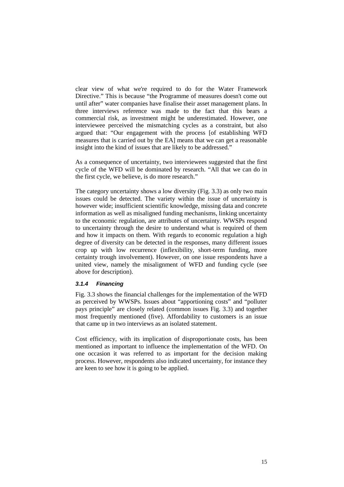clear view of what we're required to do for the Water Framework Directive." This is because "the Programme of measures doesn't come out until after" water companies have finalise their asset management plans. In three interviews reference was made to the fact that this bears a commercial risk, as investment might be underestimated. However, one interviewee perceived the mismatching cycles as a constraint, but also argued that: "Our engagement with the process [of establishing WFD measures that is carried out by the EA] means that we can get a reasonable insight into the kind of issues that are likely to be addressed."

As a consequence of uncertainty, two interviewees suggested that the first cycle of the WFD will be dominated by research. "All that we can do in the first cycle, we believe, is do more research."

The category uncertainty shows a low diversity([Fig.](#page-13-0) 3.3) as only two main issues could be detected. The variety within the issue of uncertainty is however wide; insufficient scientific knowledge, missing data and concrete information as well as misaligned funding mechanisms, linking uncertainty to the economic regulation, are attributes of uncertainty. WWSPs respond to uncertainty through the desire to understand what is required of them and how it impacts on them. With regards to economic regulation a high degree of diversity can be detected in the responses, many different issues crop up with low recurrence (inflexibility, short-term funding, more certainty trough involvement). However, on one issue respondents have a united view, namely the misalignment of WFD and funding cycle (see above for description).

#### *3.1.4 Financing*

[Fig.](#page-13-0) 3.3 shows the financial challenges for the implementation of the WFD as perceived by WWSPs. Issues about "apportioning costs" and "polluter pays principle" are closely related (common issues [Fig.](#page-13-0) 3.3) and together most frequently mentioned (five). Affordability to customers is an issue that came up in two interviews as an isolated statement.

Cost efficiency, with its implication of disproportionate costs, has been mentioned as important to influence the implementation of the WFD. On one occasion it was referred to as important for the decision making process. However, respondents also indicated uncertainty, for instance they are keen to see how it is going to be applied.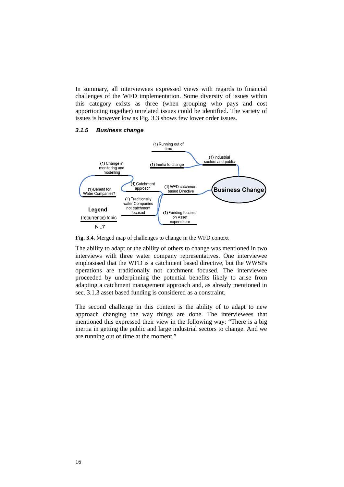In summary, all interviewees expressed views with regards to financial challenges of the WFD implementation. Some diversity of issues within this category exists as three (when grouping who pays and cost apportioning together) unrelated issues could be identified. The variety of issues is however low as [Fig.](#page-13-0) 3.3 shows few lower order issues.

### <span id="page-15-1"></span>*3.1.5 Business change*



<span id="page-15-0"></span>**Fig. 3.4.** Merged map of challenges to change in the WFD context

The ability to adapt or the ability of others to change was mentioned in two interviews with three water company representatives. One interviewee emphasised that the WFD is a catchment based directive, but the WWSPs operations are traditionally not catchment focused. The interviewee proceeded by underpinning the potential benefits likely to arise from adapting a catchment management approach and, as already mentioned in sec. [3.1.3](#page-13-1) asset based funding is considered as a constraint.

The second challenge in this context is the ability of to adapt to new approach changing the way things are done. The interviewees that mentioned this expressed their view in the following way: "There is a big inertia in getting the public and large industrial sectors to change. And we are running out of time at the moment."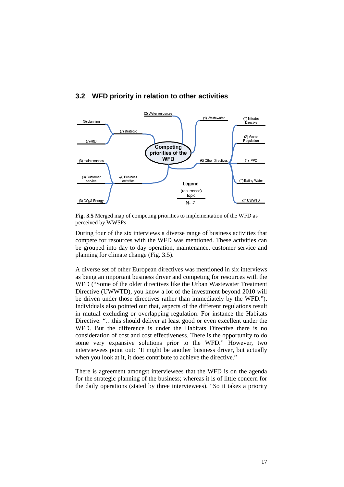

## <span id="page-16-1"></span>**3.2 WFD priority in relation to other activities**

<span id="page-16-0"></span>**Fig. 3.5** Merged map of competing priorities to implementation of the WFD as perceived by WWSPs

During four of the six interviews a diverse range of business activities that compete for resources with the WFD was mentioned. These activities can be grouped into day to day operation, maintenance, customer service and planning for climate change([Fig.](#page-16-0) 3.5).

A diverse set of other European directives was mentioned in six interviews as being an important business driver and competing for resources with the WFD ("Some of the older directives like the Urban Wastewater Treatment Directive (UWWTD), you know a lot of the investment beyond 2010 will be driven under those directives rather than immediately by the WFD."). Individuals also pointed out that, aspects of the different regulations result in mutual excluding or overlapping regulation. For instance the Habitats Directive: "…this should deliver at least good or even excellent under the WFD. But the difference is under the Habitats Directive there is no consideration of cost and cost effectiveness. There is the opportunity to do some very expansive solutions prior to the WFD." However, two interviewees point out: "It might be another business driver, but actually when you look at it, it does contribute to achieve the directive."

There is agreement amongst interviewees that the WFD is on the agenda for the strategic planning of the business; whereas it is of little concern for the daily operations (stated by three interviewees). "So it takes a priority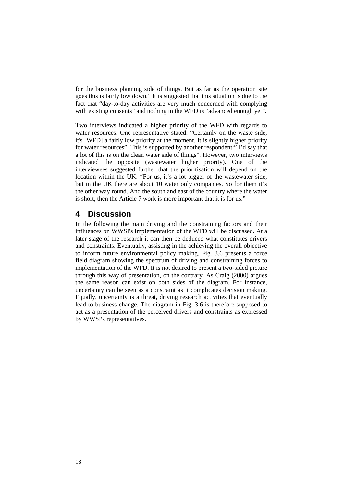for the business planning side of things. But as far as the operation site goes this is fairly low down." It is suggested that this situation is due to the fact that "day-to-day activities are very much concerned with complying with existing consents" and nothing in the WFD is "advanced enough yet".

Two interviews indicated a higher priority of the WFD with regards to water resources. One representative stated: "Certainly on the waste side, it's [WFD] a fairly low priority at the moment. It is slightly higher priority for water resources". This is supported by another respondent:" I'd say that a lot of this is on the clean water side of things". However, two interviews indicated the opposite (wastewater higher priority). One of the interviewees suggested further that the prioritisation will depend on the location within the UK: "For us, it's a lot bigger of the wastewater side, but in the UK there are about 10 water only companies. So for them it's the other way round. And the south and east of the country where the water is short, then the Article 7 work is more important that it is for us."

## **4 Discussion**

In the following the main driving and the constraining factors and their influences on WWSPs implementation of the WFD will be discussed. At a later stage of the research it can then be deduced what constitutes drivers and constraints. Eventually, assisting in the achieving the overall objective to inform future environmental policy making. [Fig.](#page-18-0) 3.6 presents a force field diagram showing the spectrum of driving and constraining forces to implementation of the WFD. It is not desired to present a two-sided picture through this way of presentation, on the contrary. As Craig (2000) argues the same reason can exist on both sides of the diagram. For instance, uncertainty can be seen as a constraint as it complicates decision making. Equally, uncertainty is a threat, driving research activities that eventually lead to business change. The diagram in [Fig.](#page-18-0) 3.6 is therefore supposed to act as a presentation of the perceived drivers and constraints as expressed by WWSPs representatives.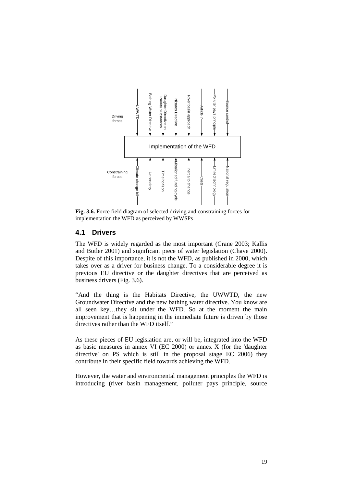

<span id="page-18-0"></span>**Fig. 3.6.** Force field diagram of selected driving and constraining forces for implementation the WFD as perceived by WWSPs

### **4.1 Drivers**

The WFD is widely regarded as the most important (Crane 2003; Kallis and Butler 2001) and significant piece of water legislation (Chave 2000). Despite of this importance, it is not the WFD, as published in 2000, which takes over as a driver for business change. To a considerable degree it is previous EU directive or the daughter directives that are perceived as business drivers ([Fig.](#page-18-0) 3.6).

"And the thing is the Habitats Directive, the UWWTD, the new Groundwater Directive and the new bathing water directive. You know are all seen key…they sit under the WFD. So at the moment the main improvement that is happening in the immediate future is driven by those directives rather than the WFD itself."

As these pieces of EU legislation are, or will be, integrated into the WFD as basic measures in annex VI (EC 2000) or annex X (for the 'daughter directive' on PS which is still in the proposal stage EC 2006) they contribute in their specific field towards achieving the WFD.

However, the water and environmental management principles the WFD is introducing (river basin management, polluter pays principle, source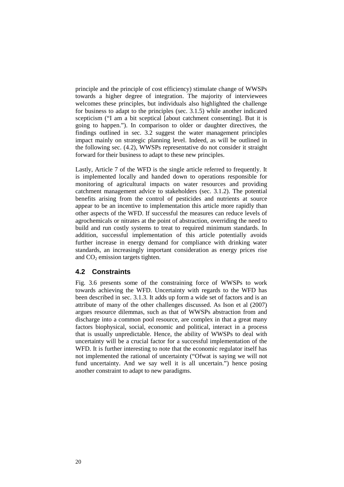principle and the principle of cost efficiency) stimulate change of WWSPs towards a higher degree of integration. The majority of interviewees welcomes these principles, but individuals also highlighted the challenge for business to adapt to the principles (sec. [3.1.5\)](#page-15-1) while another indicated scepticism ("I am a bit sceptical [about catchment consenting]. But it is going to happen."). In comparison to older or daughter directives, the findings outlined in sec. [3.2](#page-16-1) suggest the water management principles impact mainly on strategic planning level. Indeed, as will be outlined in the followingsec.([4.2\)](#page-19-0), WWSPs representative do not consider it straight forward for their business to adapt to these new principles.

Lastly, Article 7 of the WFD is the single article referred to frequently. It is implemented locally and handed down to operations responsible for monitoring of agricultural impacts on water resources and providing catchment management advice to stakeholders (sec. [3.1.2\)](#page-11-0). The potential benefits arising from the control of pesticides and nutrients at source appear to be an incentive to implementation this article more rapidly than other aspects of the WFD. If successful the measures can reduce levels of agrochemicals or nitrates at the point of abstraction, overriding the need to build and run costly systems to treat to required minimum standards. In addition, successful implementation of this article potentially avoids further increase in energy demand for compliance with drinking water standards, an increasingly important consideration as energy prices rise and  $CO<sub>2</sub>$  emission targets tighten.

### <span id="page-19-0"></span>**4.2 Constraints**

[Fig.](#page-18-0) 3.6 presents some of the constraining force of WWSPs to work towards achieving the WFD. Uncertainty with regards to the WFD has been described in sec. [3.1.3.](#page-13-1) It adds up form a wide set of factors and is an attribute of many of the other challenges discussed. As Ison et al (2007) argues resource dilemmas, such as that of WWSPs abstraction from and discharge into a common pool resource, are complex in that a great many factors biophysical, social, economic and political, interact in a process that is usually unpredictable. Hence, the ability of WWSPs to deal with uncertainty will be a crucial factor for a successful implementation of the WFD. It is further interesting to note that the economic regulator itself has not implemented the rational of uncertainty ("Ofwat is saying we will not fund uncertainty. And we say well it is all uncertain.") hence posing another constraint to adapt to new paradigms.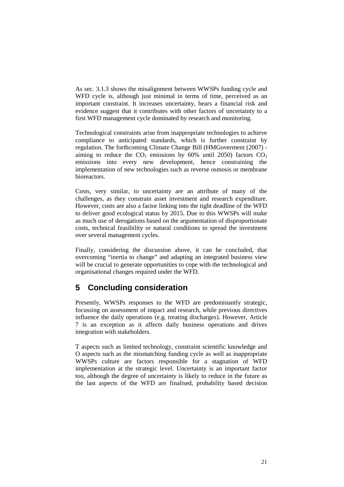As sec. [3.1.3](#page-13-1) shows the misalignment between WWSPs funding cycle and WFD cycle is, although just minimal in terms of time, perceived as an important constraint. It increases uncertainty, bears a financial risk and evidence suggest that it contributes with other factors of uncertainty to a first WFD management cycle dominated by research and monitoring.

Technological constraints arise from inappropriate technologies to achieve compliance to anticipated standards, which is further constraint by regulation. The forthcoming Climate Change Bill (HMGoverment (2007) aiming to reduce the  $CO_2$  emissions by 60% until 2050) factors  $CO_2$ emissions into every new development, hence constraining the implementation of new technologies such as reverse osmosis or membrane bioreactors.

Costs, very similar, to uncertainty are an attribute of many of the challenges, as they constrain asset investment and research expenditure. However, costs are also a factor linking into the tight deadline of the WFD to deliver good ecological status by 2015. Due to this WWSPs will make as much use of derogations based on the argumentation of disproportionate costs, technical feasibility or natural conditions to spread the investment over several management cycles.

Finally, considering the discussion above, it can be concluded, that overcoming "inertia to change" and adapting an integrated business view will be crucial to generate opportunities to cope with the technological and organisational changes required under the WFD.

# **5 Concluding consideration**

Presently, WWSPs responses to the WFD are predominantly strategic, focussing on assessment of impact and research, while previous directives influence the daily operations (e.g. treating discharges). However, Article 7 is an exception as it affects daily business operations and drives integration with stakeholders.

T aspects such as limited technology, constraint scientific knowledge and O aspects such as the mismatching funding cycle as well as inappropriate WWSPs culture are factors responsible for a stagnation of WFD implementation at the strategic level. Uncertainty is an important factor too, although the degree of uncertainty is likely to reduce in the future as the last aspects of the WFD are finalised, probability based decision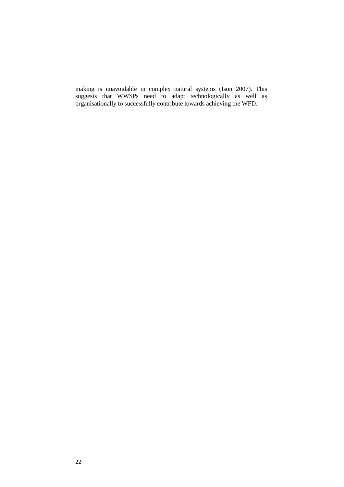making is unavoidable in complex natural systems (Ison 2007). This suggests that WWSPs need to adapt technologically as well as organisationally to successfully contribute towards achieving the WFD.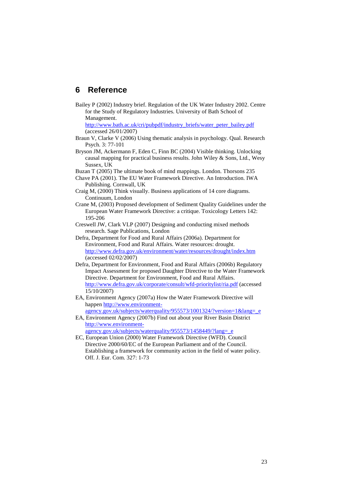## **6 Reference**

Bailey P (2002) Industry brief. Regulation of the UK Water Industry 2002. Centre for the Study of Regulatory Industries. University of Bath School of Management.

[http://www.bath.ac.uk/cri/pubpdf/industry\\_briefs/water\\_peter\\_bailey.pdf](http://www.bath.ac.uk/cri/pubpdf/Industry_Briefs/Water_Peter_Bailey.pdf) (accessed 26/01/2007)

- Braun V, Clarke V (2006) Using thematic analysis in psychology. Qual. Research Psych. 3: 77-101
- Bryson JM, Ackermann F, Eden C, Finn BC (2004) Visible thinking. Unlocking causal mapping for practical business results. John Wiley & Sons, Ltd., Wesy Sussex, UK
- Buzan T (2005) The ultimate book of mind mappings. London. Thorsons 235
- Chave PA (2001). The EU Water Framework Directive. An Introduction. IWA Publishing. Cornwall, UK
- Craig M, (2000) Think visually. Business applications of 14 core diagrams. Continuum, London
- Crane M, (2003) Proposed development of Sediment Quality Guidelines under the European Water Framework Directive: a critique. Toxicology Letters 142: 195-206
- Creswell JW, Clark VLP (2007) Designing and conducting mixed methods research. Sage Publications, London
- Defra, Department for Food and Rural Affairs (2006a). Department for Environment, Food and Rural Affairs. Water resources: drought. <http://www.defra.gov.uk/environment/water/resources/drought/index.htm> (accessed 02/02/2007)
- Defra, Department for Environment, Food and Rural Affairs (2006b) Regulatory Impact Assessment for proposed Daughter Directive to the Water Framework Directive. Department for Environment, Food and Rural Affairs. <http://www.defra.gov.uk/corporate/consult/wfd-prioritylist/ria.pdf> (accessed 15/10/2007)
- EA, Environment Agency (2007a) How the Water Framework Directive will happen [http://www.environment](http://www.environment-agency.gov.uk/subjects/waterquality/955573/1001324/?version=1&lang=_e)agency.gov.uk/subjects/waterquality/955573/1001324/?version=1&lang= e
- EA, Environment Agency (2007b) Find out about your River Basin District [http://www.environment](http://www.environment-agency.gov.uk/subjects/waterquality/955573/1458449/?lang=_e)agency.gov.uk/subjects/waterquality/955573/1458449/?lang= e

EC, European Union (2000) Water Framework Directive (WFD). Council Directive 2000/60/EC of the European Parliament and of the Council. Establishing a framework for community action in the field of water policy. Off. J. Eur. Com. 327: 1-73